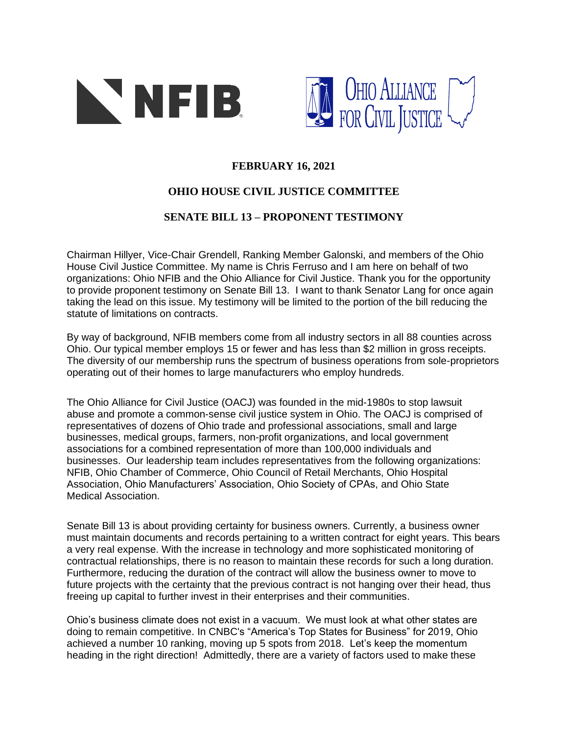



## **FEBRUARY 16, 2021**

## **OHIO HOUSE CIVIL JUSTICE COMMITTEE**

## **SENATE BILL 13 – PROPONENT TESTIMONY**

Chairman Hillyer, Vice-Chair Grendell, Ranking Member Galonski, and members of the Ohio House Civil Justice Committee. My name is Chris Ferruso and I am here on behalf of two organizations: Ohio NFIB and the Ohio Alliance for Civil Justice. Thank you for the opportunity to provide proponent testimony on Senate Bill 13. I want to thank Senator Lang for once again taking the lead on this issue. My testimony will be limited to the portion of the bill reducing the statute of limitations on contracts.

By way of background, NFIB members come from all industry sectors in all 88 counties across Ohio. Our typical member employs 15 or fewer and has less than \$2 million in gross receipts. The diversity of our membership runs the spectrum of business operations from sole-proprietors operating out of their homes to large manufacturers who employ hundreds.

The Ohio Alliance for Civil Justice (OACJ) was founded in the mid-1980s to stop lawsuit abuse and promote a common-sense civil justice system in Ohio. The OACJ is comprised of representatives of dozens of Ohio trade and professional associations, small and large businesses, medical groups, farmers, non-profit organizations, and local government associations for a combined representation of more than 100,000 individuals and businesses. Our leadership team includes representatives from the following organizations: NFIB, Ohio Chamber of Commerce, Ohio Council of Retail Merchants, Ohio Hospital Association, Ohio Manufacturers' Association, Ohio Society of CPAs, and Ohio State Medical Association.

Senate Bill 13 is about providing certainty for business owners. Currently, a business owner must maintain documents and records pertaining to a written contract for eight years. This bears a very real expense. With the increase in technology and more sophisticated monitoring of contractual relationships, there is no reason to maintain these records for such a long duration. Furthermore, reducing the duration of the contract will allow the business owner to move to future projects with the certainty that the previous contract is not hanging over their head, thus freeing up capital to further invest in their enterprises and their communities.

Ohio's business climate does not exist in a vacuum. We must look at what other states are doing to remain competitive. In CNBC's "America's Top States for Business" for 2019, Ohio achieved a number 10 ranking, moving up 5 spots from 2018. Let's keep the momentum heading in the right direction! Admittedly, there are a variety of factors used to make these